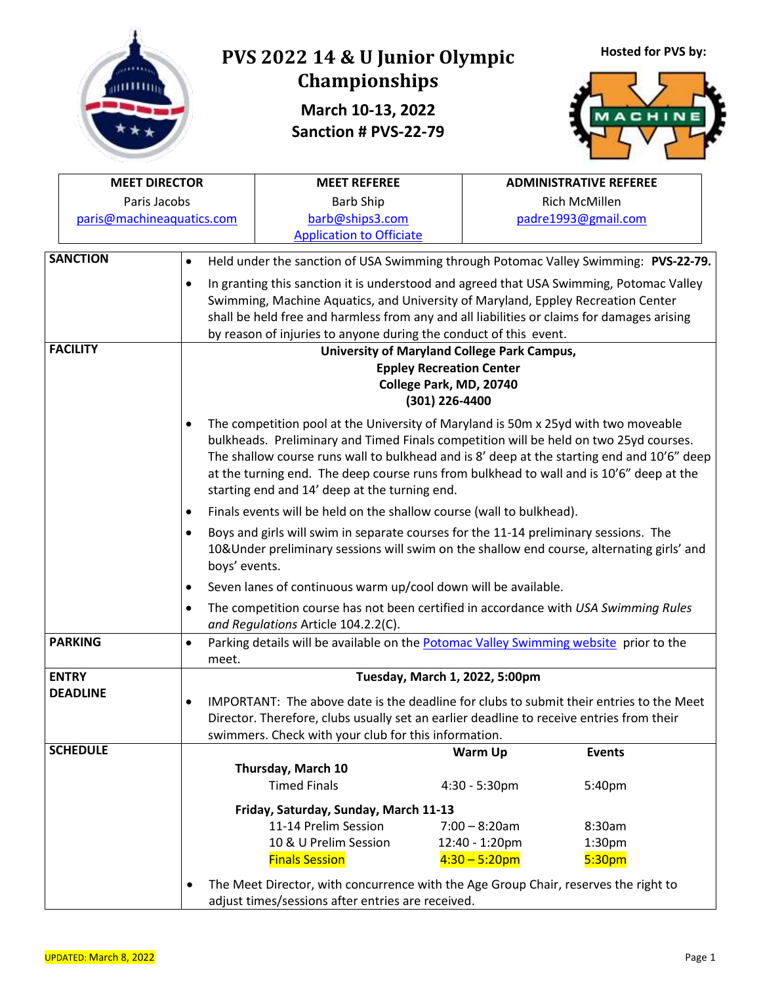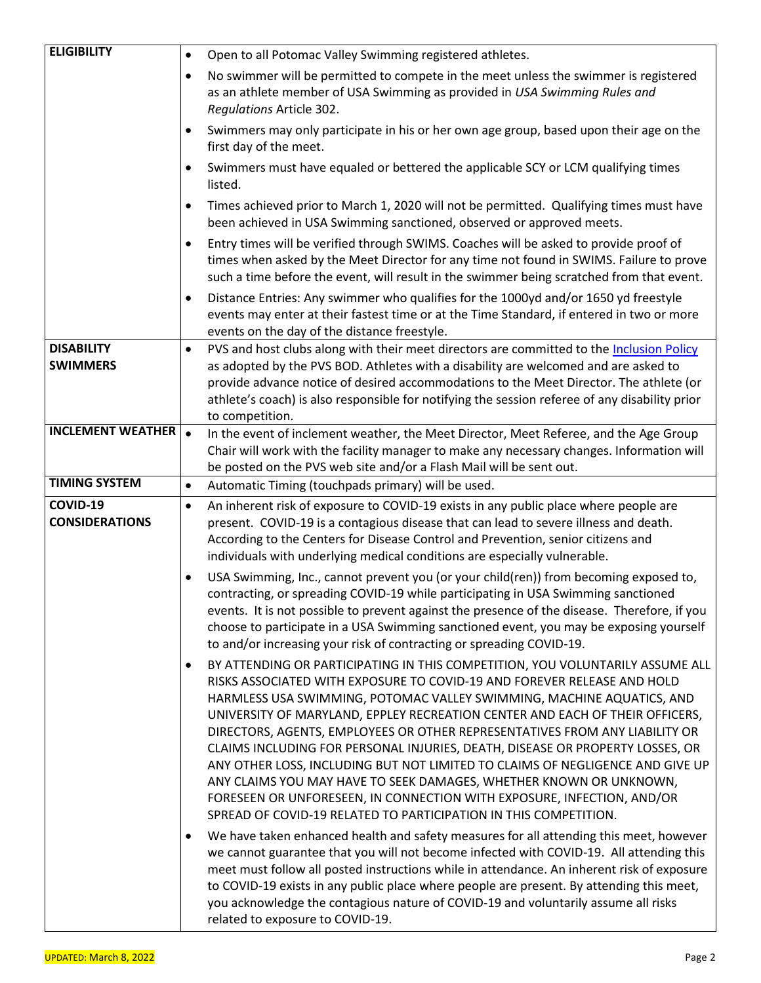| <b>ELIGIBILITY</b>                   | Open to all Potomac Valley Swimming registered athletes.<br>$\bullet$                                                                                                                                                                                                                                                                                                                                                                                                                                                                                                                                                                                                                                                                                                                                                                                                                                                                                                                                                                                                                    |
|--------------------------------------|------------------------------------------------------------------------------------------------------------------------------------------------------------------------------------------------------------------------------------------------------------------------------------------------------------------------------------------------------------------------------------------------------------------------------------------------------------------------------------------------------------------------------------------------------------------------------------------------------------------------------------------------------------------------------------------------------------------------------------------------------------------------------------------------------------------------------------------------------------------------------------------------------------------------------------------------------------------------------------------------------------------------------------------------------------------------------------------|
|                                      | No swimmer will be permitted to compete in the meet unless the swimmer is registered<br>٠<br>as an athlete member of USA Swimming as provided in USA Swimming Rules and<br>Regulations Article 302.                                                                                                                                                                                                                                                                                                                                                                                                                                                                                                                                                                                                                                                                                                                                                                                                                                                                                      |
|                                      | Swimmers may only participate in his or her own age group, based upon their age on the<br>first day of the meet.                                                                                                                                                                                                                                                                                                                                                                                                                                                                                                                                                                                                                                                                                                                                                                                                                                                                                                                                                                         |
|                                      | Swimmers must have equaled or bettered the applicable SCY or LCM qualifying times<br>listed.                                                                                                                                                                                                                                                                                                                                                                                                                                                                                                                                                                                                                                                                                                                                                                                                                                                                                                                                                                                             |
|                                      | Times achieved prior to March 1, 2020 will not be permitted. Qualifying times must have<br>$\bullet$<br>been achieved in USA Swimming sanctioned, observed or approved meets.                                                                                                                                                                                                                                                                                                                                                                                                                                                                                                                                                                                                                                                                                                                                                                                                                                                                                                            |
|                                      | Entry times will be verified through SWIMS. Coaches will be asked to provide proof of<br>times when asked by the Meet Director for any time not found in SWIMS. Failure to prove<br>such a time before the event, will result in the swimmer being scratched from that event.                                                                                                                                                                                                                                                                                                                                                                                                                                                                                                                                                                                                                                                                                                                                                                                                            |
|                                      | Distance Entries: Any swimmer who qualifies for the 1000yd and/or 1650 yd freestyle<br>٠<br>events may enter at their fastest time or at the Time Standard, if entered in two or more<br>events on the day of the distance freestyle.                                                                                                                                                                                                                                                                                                                                                                                                                                                                                                                                                                                                                                                                                                                                                                                                                                                    |
| <b>DISABILITY</b><br><b>SWIMMERS</b> | PVS and host clubs along with their meet directors are committed to the Inclusion Policy<br>$\bullet$<br>as adopted by the PVS BOD. Athletes with a disability are welcomed and are asked to<br>provide advance notice of desired accommodations to the Meet Director. The athlete (or<br>athlete's coach) is also responsible for notifying the session referee of any disability prior<br>to competition.                                                                                                                                                                                                                                                                                                                                                                                                                                                                                                                                                                                                                                                                              |
| <b>INCLEMENT WEATHER</b>             | In the event of inclement weather, the Meet Director, Meet Referee, and the Age Group<br>Chair will work with the facility manager to make any necessary changes. Information will<br>be posted on the PVS web site and/or a Flash Mail will be sent out.                                                                                                                                                                                                                                                                                                                                                                                                                                                                                                                                                                                                                                                                                                                                                                                                                                |
| <b>TIMING SYSTEM</b>                 | Automatic Timing (touchpads primary) will be used.<br>$\bullet$                                                                                                                                                                                                                                                                                                                                                                                                                                                                                                                                                                                                                                                                                                                                                                                                                                                                                                                                                                                                                          |
| COVID-19<br><b>CONSIDERATIONS</b>    | An inherent risk of exposure to COVID-19 exists in any public place where people are<br>$\bullet$<br>present. COVID-19 is a contagious disease that can lead to severe illness and death.<br>According to the Centers for Disease Control and Prevention, senior citizens and<br>individuals with underlying medical conditions are especially vulnerable.                                                                                                                                                                                                                                                                                                                                                                                                                                                                                                                                                                                                                                                                                                                               |
|                                      | USA Swimming, Inc., cannot prevent you (or your child(ren)) from becoming exposed to,<br>contracting, or spreading COVID-19 while participating in USA Swimming sanctioned<br>events. It is not possible to prevent against the presence of the disease. Therefore, if you<br>choose to participate in a USA Swimming sanctioned event, you may be exposing yourself<br>to and/or increasing your risk of contracting or spreading COVID-19.<br>BY ATTENDING OR PARTICIPATING IN THIS COMPETITION, YOU VOLUNTARILY ASSUME ALL<br>RISKS ASSOCIATED WITH EXPOSURE TO COVID-19 AND FOREVER RELEASE AND HOLD<br>HARMLESS USA SWIMMING, POTOMAC VALLEY SWIMMING, MACHINE AQUATICS, AND<br>UNIVERSITY OF MARYLAND, EPPLEY RECREATION CENTER AND EACH OF THEIR OFFICERS,<br>DIRECTORS, AGENTS, EMPLOYEES OR OTHER REPRESENTATIVES FROM ANY LIABILITY OR<br>CLAIMS INCLUDING FOR PERSONAL INJURIES, DEATH, DISEASE OR PROPERTY LOSSES, OR<br>ANY OTHER LOSS, INCLUDING BUT NOT LIMITED TO CLAIMS OF NEGLIGENCE AND GIVE UP<br>ANY CLAIMS YOU MAY HAVE TO SEEK DAMAGES, WHETHER KNOWN OR UNKNOWN, |
|                                      | FORESEEN OR UNFORESEEN, IN CONNECTION WITH EXPOSURE, INFECTION, AND/OR<br>SPREAD OF COVID-19 RELATED TO PARTICIPATION IN THIS COMPETITION.                                                                                                                                                                                                                                                                                                                                                                                                                                                                                                                                                                                                                                                                                                                                                                                                                                                                                                                                               |
|                                      | We have taken enhanced health and safety measures for all attending this meet, however<br>we cannot guarantee that you will not become infected with COVID-19. All attending this<br>meet must follow all posted instructions while in attendance. An inherent risk of exposure<br>to COVID-19 exists in any public place where people are present. By attending this meet,<br>you acknowledge the contagious nature of COVID-19 and voluntarily assume all risks<br>related to exposure to COVID-19.                                                                                                                                                                                                                                                                                                                                                                                                                                                                                                                                                                                    |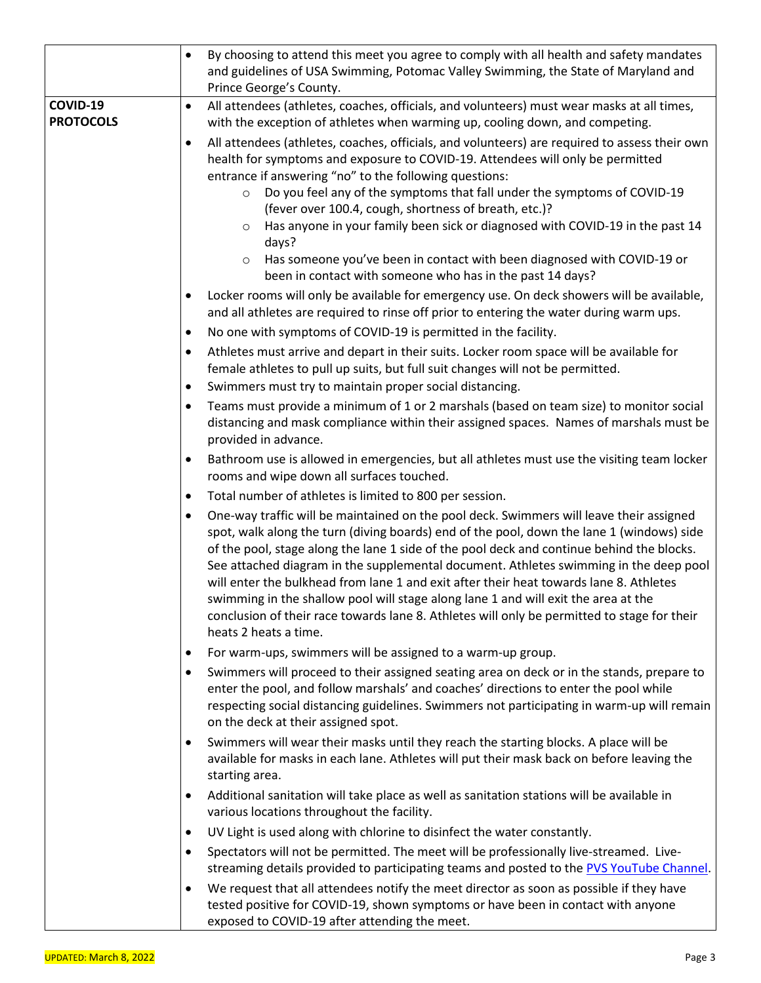|                              | By choosing to attend this meet you agree to comply with all health and safety mandates<br>$\bullet$<br>and guidelines of USA Swimming, Potomac Valley Swimming, the State of Maryland and<br>Prince George's County.                                                                                                                                                                                                                                                                                                                                                                                                                                                                           |
|------------------------------|-------------------------------------------------------------------------------------------------------------------------------------------------------------------------------------------------------------------------------------------------------------------------------------------------------------------------------------------------------------------------------------------------------------------------------------------------------------------------------------------------------------------------------------------------------------------------------------------------------------------------------------------------------------------------------------------------|
| COVID-19<br><b>PROTOCOLS</b> | All attendees (athletes, coaches, officials, and volunteers) must wear masks at all times,<br>$\bullet$<br>with the exception of athletes when warming up, cooling down, and competing.                                                                                                                                                                                                                                                                                                                                                                                                                                                                                                         |
|                              | All attendees (athletes, coaches, officials, and volunteers) are required to assess their own<br>$\bullet$<br>health for symptoms and exposure to COVID-19. Attendees will only be permitted<br>entrance if answering "no" to the following questions:<br>Do you feel any of the symptoms that fall under the symptoms of COVID-19<br>$\circ$<br>(fever over 100.4, cough, shortness of breath, etc.)?<br>Has anyone in your family been sick or diagnosed with COVID-19 in the past 14<br>$\circ$<br>days?                                                                                                                                                                                     |
|                              | Has someone you've been in contact with been diagnosed with COVID-19 or<br>$\circ$<br>been in contact with someone who has in the past 14 days?                                                                                                                                                                                                                                                                                                                                                                                                                                                                                                                                                 |
|                              | Locker rooms will only be available for emergency use. On deck showers will be available,<br>and all athletes are required to rinse off prior to entering the water during warm ups.<br>No one with symptoms of COVID-19 is permitted in the facility.<br>$\bullet$<br>Athletes must arrive and depart in their suits. Locker room space will be available for<br>$\bullet$                                                                                                                                                                                                                                                                                                                     |
|                              | female athletes to pull up suits, but full suit changes will not be permitted.<br>Swimmers must try to maintain proper social distancing.<br>٠                                                                                                                                                                                                                                                                                                                                                                                                                                                                                                                                                  |
|                              | Teams must provide a minimum of 1 or 2 marshals (based on team size) to monitor social<br>distancing and mask compliance within their assigned spaces. Names of marshals must be<br>provided in advance.                                                                                                                                                                                                                                                                                                                                                                                                                                                                                        |
|                              | Bathroom use is allowed in emergencies, but all athletes must use the visiting team locker<br>٠<br>rooms and wipe down all surfaces touched.                                                                                                                                                                                                                                                                                                                                                                                                                                                                                                                                                    |
|                              | Total number of athletes is limited to 800 per session.<br>$\bullet$                                                                                                                                                                                                                                                                                                                                                                                                                                                                                                                                                                                                                            |
|                              | One-way traffic will be maintained on the pool deck. Swimmers will leave their assigned<br>$\bullet$<br>spot, walk along the turn (diving boards) end of the pool, down the lane 1 (windows) side<br>of the pool, stage along the lane 1 side of the pool deck and continue behind the blocks.<br>See attached diagram in the supplemental document. Athletes swimming in the deep pool<br>will enter the bulkhead from lane 1 and exit after their heat towards lane 8. Athletes<br>swimming in the shallow pool will stage along lane 1 and will exit the area at the<br>conclusion of their race towards lane 8. Athletes will only be permitted to stage for their<br>heats 2 heats a time. |
|                              | For warm-ups, swimmers will be assigned to a warm-up group.<br>٠                                                                                                                                                                                                                                                                                                                                                                                                                                                                                                                                                                                                                                |
|                              | Swimmers will proceed to their assigned seating area on deck or in the stands, prepare to<br>٠<br>enter the pool, and follow marshals' and coaches' directions to enter the pool while<br>respecting social distancing guidelines. Swimmers not participating in warm-up will remain<br>on the deck at their assigned spot.                                                                                                                                                                                                                                                                                                                                                                     |
|                              | Swimmers will wear their masks until they reach the starting blocks. A place will be<br>٠<br>available for masks in each lane. Athletes will put their mask back on before leaving the<br>starting area.                                                                                                                                                                                                                                                                                                                                                                                                                                                                                        |
|                              | Additional sanitation will take place as well as sanitation stations will be available in<br>various locations throughout the facility.                                                                                                                                                                                                                                                                                                                                                                                                                                                                                                                                                         |
|                              | UV Light is used along with chlorine to disinfect the water constantly.<br>٠                                                                                                                                                                                                                                                                                                                                                                                                                                                                                                                                                                                                                    |
|                              | Spectators will not be permitted. The meet will be professionally live-streamed. Live-<br>$\bullet$<br>streaming details provided to participating teams and posted to the PVS YouTube Channel.                                                                                                                                                                                                                                                                                                                                                                                                                                                                                                 |
|                              | We request that all attendees notify the meet director as soon as possible if they have<br>tested positive for COVID-19, shown symptoms or have been in contact with anyone<br>exposed to COVID-19 after attending the meet.                                                                                                                                                                                                                                                                                                                                                                                                                                                                    |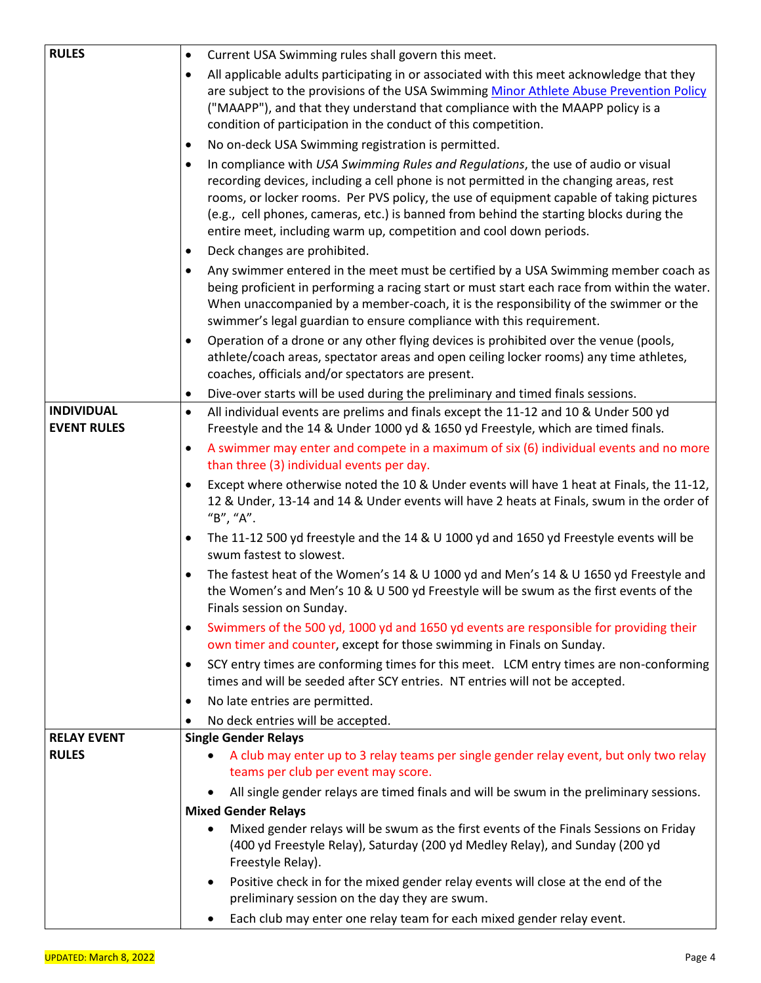| <b>RULES</b>                            | Current USA Swimming rules shall govern this meet.<br>$\bullet$                                                                                                                                                                                              |  |  |  |  |  |
|-----------------------------------------|--------------------------------------------------------------------------------------------------------------------------------------------------------------------------------------------------------------------------------------------------------------|--|--|--|--|--|
|                                         | All applicable adults participating in or associated with this meet acknowledge that they                                                                                                                                                                    |  |  |  |  |  |
|                                         | are subject to the provisions of the USA Swimming Minor Athlete Abuse Prevention Policy                                                                                                                                                                      |  |  |  |  |  |
|                                         | ("MAAPP"), and that they understand that compliance with the MAAPP policy is a                                                                                                                                                                               |  |  |  |  |  |
|                                         | condition of participation in the conduct of this competition.                                                                                                                                                                                               |  |  |  |  |  |
|                                         | No on-deck USA Swimming registration is permitted.<br>$\bullet$                                                                                                                                                                                              |  |  |  |  |  |
|                                         | In compliance with USA Swimming Rules and Regulations, the use of audio or visual<br>recording devices, including a cell phone is not permitted in the changing areas, rest                                                                                  |  |  |  |  |  |
|                                         | rooms, or locker rooms. Per PVS policy, the use of equipment capable of taking pictures<br>(e.g., cell phones, cameras, etc.) is banned from behind the starting blocks during the<br>entire meet, including warm up, competition and cool down periods.     |  |  |  |  |  |
|                                         | Deck changes are prohibited.<br>٠                                                                                                                                                                                                                            |  |  |  |  |  |
|                                         | Any swimmer entered in the meet must be certified by a USA Swimming member coach as<br>$\bullet$                                                                                                                                                             |  |  |  |  |  |
|                                         | being proficient in performing a racing start or must start each race from within the water.<br>When unaccompanied by a member-coach, it is the responsibility of the swimmer or the<br>swimmer's legal guardian to ensure compliance with this requirement. |  |  |  |  |  |
|                                         | Operation of a drone or any other flying devices is prohibited over the venue (pools,<br>athlete/coach areas, spectator areas and open ceiling locker rooms) any time athletes,<br>coaches, officials and/or spectators are present.                         |  |  |  |  |  |
|                                         | Dive-over starts will be used during the preliminary and timed finals sessions.<br>٠                                                                                                                                                                         |  |  |  |  |  |
| <b>INDIVIDUAL</b><br><b>EVENT RULES</b> | All individual events are prelims and finals except the 11-12 and 10 & Under 500 yd<br>$\bullet$<br>Freestyle and the 14 & Under 1000 yd & 1650 yd Freestyle, which are timed finals.                                                                        |  |  |  |  |  |
|                                         | A swimmer may enter and compete in a maximum of six (6) individual events and no more<br>٠<br>than three (3) individual events per day.                                                                                                                      |  |  |  |  |  |
|                                         | Except where otherwise noted the 10 & Under events will have 1 heat at Finals, the 11-12,<br>12 & Under, 13-14 and 14 & Under events will have 2 heats at Finals, swum in the order of<br>"B", "A".                                                          |  |  |  |  |  |
|                                         | The 11-12 500 yd freestyle and the 14 & U 1000 yd and 1650 yd Freestyle events will be<br>swum fastest to slowest.                                                                                                                                           |  |  |  |  |  |
|                                         | The fastest heat of the Women's 14 & U 1000 yd and Men's 14 & U 1650 yd Freestyle and<br>the Women's and Men's 10 & U 500 yd Freestyle will be swum as the first events of the<br>Finals session on Sunday.                                                  |  |  |  |  |  |
|                                         | Swimmers of the 500 yd, 1000 yd and 1650 yd events are responsible for providing their<br>٠<br>own timer and counter, except for those swimming in Finals on Sunday.                                                                                         |  |  |  |  |  |
|                                         | SCY entry times are conforming times for this meet. LCM entry times are non-conforming<br>٠<br>times and will be seeded after SCY entries. NT entries will not be accepted.                                                                                  |  |  |  |  |  |
|                                         | No late entries are permitted.<br>٠                                                                                                                                                                                                                          |  |  |  |  |  |
|                                         | No deck entries will be accepted.                                                                                                                                                                                                                            |  |  |  |  |  |
| <b>RELAY EVENT</b>                      | <b>Single Gender Relays</b>                                                                                                                                                                                                                                  |  |  |  |  |  |
| <b>RULES</b>                            | A club may enter up to 3 relay teams per single gender relay event, but only two relay<br>$\bullet$<br>teams per club per event may score.                                                                                                                   |  |  |  |  |  |
|                                         | All single gender relays are timed finals and will be swum in the preliminary sessions.                                                                                                                                                                      |  |  |  |  |  |
|                                         | <b>Mixed Gender Relays</b>                                                                                                                                                                                                                                   |  |  |  |  |  |
|                                         | Mixed gender relays will be swum as the first events of the Finals Sessions on Friday<br>(400 yd Freestyle Relay), Saturday (200 yd Medley Relay), and Sunday (200 yd<br>Freestyle Relay).                                                                   |  |  |  |  |  |
|                                         | Positive check in for the mixed gender relay events will close at the end of the<br>$\bullet$<br>preliminary session on the day they are swum.                                                                                                               |  |  |  |  |  |
|                                         | Each club may enter one relay team for each mixed gender relay event.<br>$\bullet$                                                                                                                                                                           |  |  |  |  |  |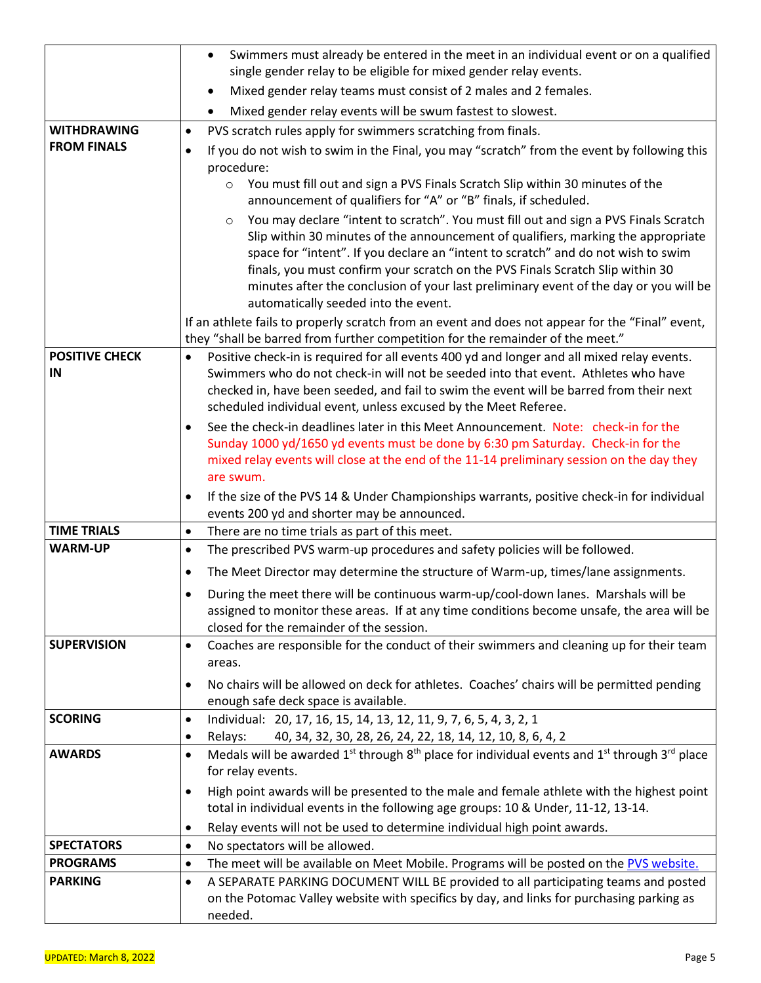|                                   | Swimmers must already be entered in the meet in an individual event or on a qualified<br>$\bullet$                                                                                                                                                                                                                                                                                                                                                                                           |
|-----------------------------------|----------------------------------------------------------------------------------------------------------------------------------------------------------------------------------------------------------------------------------------------------------------------------------------------------------------------------------------------------------------------------------------------------------------------------------------------------------------------------------------------|
|                                   | single gender relay to be eligible for mixed gender relay events.                                                                                                                                                                                                                                                                                                                                                                                                                            |
|                                   | Mixed gender relay teams must consist of 2 males and 2 females.<br>$\bullet$                                                                                                                                                                                                                                                                                                                                                                                                                 |
|                                   | Mixed gender relay events will be swum fastest to slowest.                                                                                                                                                                                                                                                                                                                                                                                                                                   |
| <b>WITHDRAWING</b>                | PVS scratch rules apply for swimmers scratching from finals.<br>$\bullet$                                                                                                                                                                                                                                                                                                                                                                                                                    |
| <b>FROM FINALS</b>                | If you do not wish to swim in the Final, you may "scratch" from the event by following this<br>$\bullet$                                                                                                                                                                                                                                                                                                                                                                                     |
|                                   | procedure:                                                                                                                                                                                                                                                                                                                                                                                                                                                                                   |
|                                   | You must fill out and sign a PVS Finals Scratch Slip within 30 minutes of the<br>$\circ$<br>announcement of qualifiers for "A" or "B" finals, if scheduled.                                                                                                                                                                                                                                                                                                                                  |
|                                   | You may declare "intent to scratch". You must fill out and sign a PVS Finals Scratch<br>$\circ$<br>Slip within 30 minutes of the announcement of qualifiers, marking the appropriate<br>space for "intent". If you declare an "intent to scratch" and do not wish to swim<br>finals, you must confirm your scratch on the PVS Finals Scratch Slip within 30<br>minutes after the conclusion of your last preliminary event of the day or you will be<br>automatically seeded into the event. |
|                                   | If an athlete fails to properly scratch from an event and does not appear for the "Final" event,<br>they "shall be barred from further competition for the remainder of the meet."                                                                                                                                                                                                                                                                                                           |
| <b>POSITIVE CHECK</b><br>IN       | Positive check-in is required for all events 400 yd and longer and all mixed relay events.<br>$\bullet$<br>Swimmers who do not check-in will not be seeded into that event. Athletes who have<br>checked in, have been seeded, and fail to swim the event will be barred from their next<br>scheduled individual event, unless excused by the Meet Referee.                                                                                                                                  |
|                                   | See the check-in deadlines later in this Meet Announcement. Note: check-in for the<br>Sunday 1000 yd/1650 yd events must be done by 6:30 pm Saturday. Check-in for the<br>mixed relay events will close at the end of the 11-14 preliminary session on the day they<br>are swum.                                                                                                                                                                                                             |
|                                   | If the size of the PVS 14 & Under Championships warrants, positive check-in for individual<br>events 200 yd and shorter may be announced.                                                                                                                                                                                                                                                                                                                                                    |
| <b>TIME TRIALS</b>                | There are no time trials as part of this meet.<br>$\bullet$                                                                                                                                                                                                                                                                                                                                                                                                                                  |
| <b>WARM-UP</b>                    | The prescribed PVS warm-up procedures and safety policies will be followed.<br>$\bullet$                                                                                                                                                                                                                                                                                                                                                                                                     |
|                                   | The Meet Director may determine the structure of Warm-up, times/lane assignments.<br>٠                                                                                                                                                                                                                                                                                                                                                                                                       |
|                                   | During the meet there will be continuous warm-up/cool-down lanes. Marshals will be<br>assigned to monitor these areas. If at any time conditions become unsafe, the area will be<br>closed for the remainder of the session.                                                                                                                                                                                                                                                                 |
| <b>SUPERVISION</b>                | Coaches are responsible for the conduct of their swimmers and cleaning up for their team<br>$\bullet$<br>areas.                                                                                                                                                                                                                                                                                                                                                                              |
|                                   | No chairs will be allowed on deck for athletes. Coaches' chairs will be permitted pending<br>$\bullet$<br>enough safe deck space is available.                                                                                                                                                                                                                                                                                                                                               |
| <b>SCORING</b>                    | Individual: 20, 17, 16, 15, 14, 13, 12, 11, 9, 7, 6, 5, 4, 3, 2, 1<br>$\bullet$                                                                                                                                                                                                                                                                                                                                                                                                              |
|                                   | 40, 34, 32, 30, 28, 26, 24, 22, 18, 14, 12, 10, 8, 6, 4, 2<br>Relays:<br>٠                                                                                                                                                                                                                                                                                                                                                                                                                   |
| <b>AWARDS</b>                     | Medals will be awarded 1 <sup>st</sup> through 8 <sup>th</sup> place for individual events and 1 <sup>st</sup> through 3 <sup>rd</sup> place<br>$\bullet$<br>for relay events.                                                                                                                                                                                                                                                                                                               |
|                                   | High point awards will be presented to the male and female athlete with the highest point<br>$\bullet$                                                                                                                                                                                                                                                                                                                                                                                       |
|                                   | total in individual events in the following age groups: 10 & Under, 11-12, 13-14.                                                                                                                                                                                                                                                                                                                                                                                                            |
|                                   | Relay events will not be used to determine individual high point awards.<br>$\bullet$                                                                                                                                                                                                                                                                                                                                                                                                        |
| <b>SPECTATORS</b>                 | No spectators will be allowed.<br>$\bullet$                                                                                                                                                                                                                                                                                                                                                                                                                                                  |
| <b>PROGRAMS</b><br><b>PARKING</b> | The meet will be available on Meet Mobile. Programs will be posted on the PVS website.<br>$\bullet$<br>A SEPARATE PARKING DOCUMENT WILL BE provided to all participating teams and posted<br>$\bullet$                                                                                                                                                                                                                                                                                       |
|                                   | on the Potomac Valley website with specifics by day, and links for purchasing parking as<br>needed.                                                                                                                                                                                                                                                                                                                                                                                          |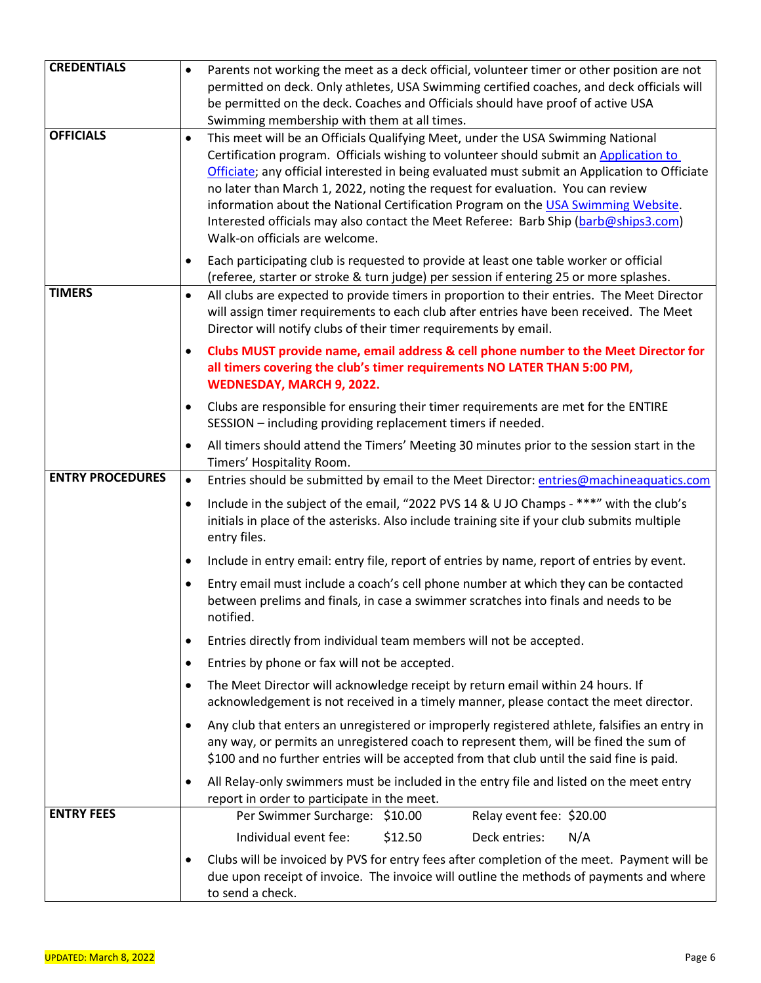| <b>CREDENTIALS</b>      | Parents not working the meet as a deck official, volunteer timer or other position are not                                                                                                                                                                                                                                                                                                                                                                                                                                                                                             |
|-------------------------|----------------------------------------------------------------------------------------------------------------------------------------------------------------------------------------------------------------------------------------------------------------------------------------------------------------------------------------------------------------------------------------------------------------------------------------------------------------------------------------------------------------------------------------------------------------------------------------|
|                         | permitted on deck. Only athletes, USA Swimming certified coaches, and deck officials will                                                                                                                                                                                                                                                                                                                                                                                                                                                                                              |
|                         | be permitted on the deck. Coaches and Officials should have proof of active USA                                                                                                                                                                                                                                                                                                                                                                                                                                                                                                        |
|                         | Swimming membership with them at all times.                                                                                                                                                                                                                                                                                                                                                                                                                                                                                                                                            |
| <b>OFFICIALS</b>        | This meet will be an Officials Qualifying Meet, under the USA Swimming National<br>$\bullet$<br>Certification program. Officials wishing to volunteer should submit an Application to<br>Officiate; any official interested in being evaluated must submit an Application to Officiate<br>no later than March 1, 2022, noting the request for evaluation. You can review<br>information about the National Certification Program on the USA Swimming Website.<br>Interested officials may also contact the Meet Referee: Barb Ship (barb@ships3.com)<br>Walk-on officials are welcome. |
|                         | Each participating club is requested to provide at least one table worker or official<br>(referee, starter or stroke & turn judge) per session if entering 25 or more splashes.                                                                                                                                                                                                                                                                                                                                                                                                        |
| <b>TIMERS</b>           | All clubs are expected to provide timers in proportion to their entries. The Meet Director<br>$\bullet$<br>will assign timer requirements to each club after entries have been received. The Meet<br>Director will notify clubs of their timer requirements by email.                                                                                                                                                                                                                                                                                                                  |
|                         | Clubs MUST provide name, email address & cell phone number to the Meet Director for<br>$\bullet$<br>all timers covering the club's timer requirements NO LATER THAN 5:00 PM,<br>WEDNESDAY, MARCH 9, 2022.                                                                                                                                                                                                                                                                                                                                                                              |
|                         | Clubs are responsible for ensuring their timer requirements are met for the ENTIRE<br>٠<br>SESSION - including providing replacement timers if needed.                                                                                                                                                                                                                                                                                                                                                                                                                                 |
|                         | All timers should attend the Timers' Meeting 30 minutes prior to the session start in the<br>٠<br>Timers' Hospitality Room.                                                                                                                                                                                                                                                                                                                                                                                                                                                            |
| <b>ENTRY PROCEDURES</b> | $\bullet$<br>Entries should be submitted by email to the Meet Director: entries@machineaguatics.com                                                                                                                                                                                                                                                                                                                                                                                                                                                                                    |
|                         | Include in the subject of the email, "2022 PVS 14 & U JO Champs - ***" with the club's<br>$\bullet$<br>initials in place of the asterisks. Also include training site if your club submits multiple<br>entry files.                                                                                                                                                                                                                                                                                                                                                                    |
|                         | Include in entry email: entry file, report of entries by name, report of entries by event.<br>$\bullet$                                                                                                                                                                                                                                                                                                                                                                                                                                                                                |
|                         | Entry email must include a coach's cell phone number at which they can be contacted<br>$\bullet$<br>between prelims and finals, in case a swimmer scratches into finals and needs to be<br>notified.                                                                                                                                                                                                                                                                                                                                                                                   |
|                         | Entries directly from individual team members will not be accepted.<br>٠                                                                                                                                                                                                                                                                                                                                                                                                                                                                                                               |
|                         | Entries by phone or fax will not be accepted.<br>٠                                                                                                                                                                                                                                                                                                                                                                                                                                                                                                                                     |
|                         | The Meet Director will acknowledge receipt by return email within 24 hours. If<br>٠<br>acknowledgement is not received in a timely manner, please contact the meet director.                                                                                                                                                                                                                                                                                                                                                                                                           |
|                         | Any club that enters an unregistered or improperly registered athlete, falsifies an entry in<br>$\bullet$<br>any way, or permits an unregistered coach to represent them, will be fined the sum of<br>\$100 and no further entries will be accepted from that club until the said fine is paid.                                                                                                                                                                                                                                                                                        |
|                         | All Relay-only swimmers must be included in the entry file and listed on the meet entry<br>٠<br>report in order to participate in the meet.                                                                                                                                                                                                                                                                                                                                                                                                                                            |
| <b>ENTRY FEES</b>       | Per Swimmer Surcharge: \$10.00<br>Relay event fee: \$20.00                                                                                                                                                                                                                                                                                                                                                                                                                                                                                                                             |
|                         | Individual event fee:<br>\$12.50<br>Deck entries:<br>N/A                                                                                                                                                                                                                                                                                                                                                                                                                                                                                                                               |
|                         | Clubs will be invoiced by PVS for entry fees after completion of the meet. Payment will be<br>due upon receipt of invoice. The invoice will outline the methods of payments and where<br>to send a check.                                                                                                                                                                                                                                                                                                                                                                              |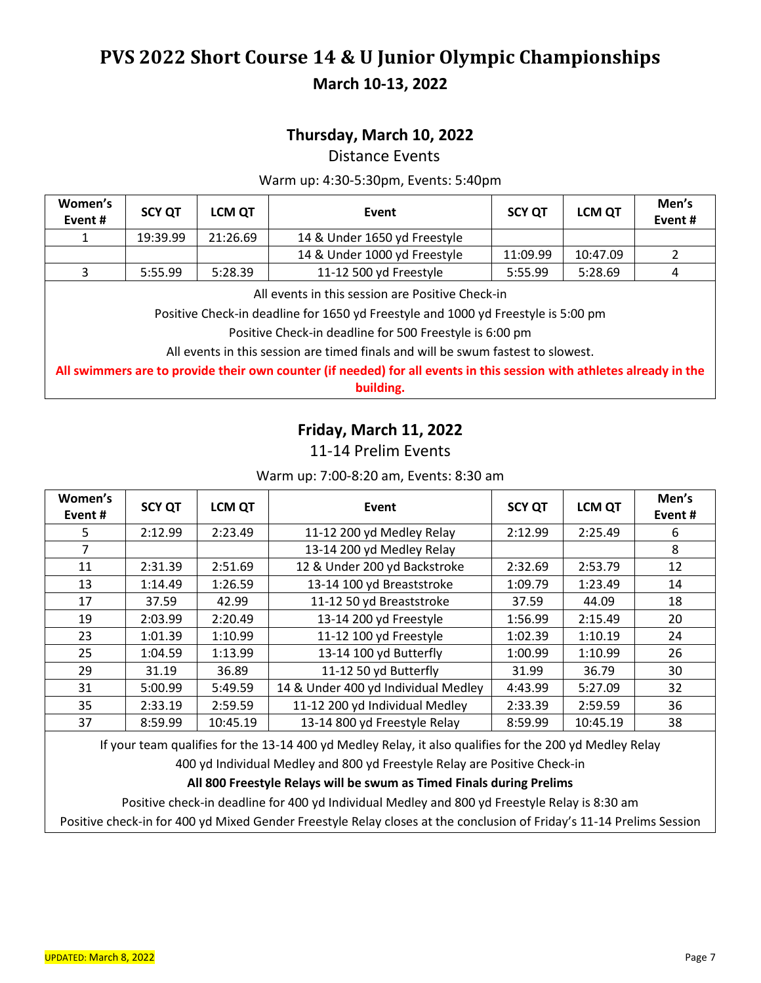### **Thursday, March 10, 2022**

Distance Events

#### Warm up: 4:30-5:30pm, Events: 5:40pm

| Women's<br>Event# | <b>SCY QT</b>                                                                                                                          | <b>LCM QT</b> | Event                        | <b>SCY OT</b> | <b>LCM QT</b> | Men's<br>Event# |  |
|-------------------|----------------------------------------------------------------------------------------------------------------------------------------|---------------|------------------------------|---------------|---------------|-----------------|--|
|                   | 19:39.99                                                                                                                               | 21:26.69      | 14 & Under 1650 yd Freestyle |               |               |                 |  |
|                   |                                                                                                                                        |               | 14 & Under 1000 yd Freestyle | 11:09.99      | 10:47.09      |                 |  |
|                   | 5:55.99                                                                                                                                | 5:28.39       | 11-12 500 yd Freestyle       | 5:55.99       | 5:28.69       | 4               |  |
|                   | All events in this session are Positive Check-in<br>British and the dealth of a series the contract series of the result of the AA and |               |                              |               |               |                 |  |

Positive Check-in deadline for 1650 yd Freestyle and 1000 yd Freestyle is 5:00 pm

Positive Check-in deadline for 500 Freestyle is 6:00 pm

All events in this session are timed finals and will be swum fastest to slowest.

**All swimmers are to provide their own counter (if needed) for all events in this session with athletes already in the building.**

### **Friday, March 11, 2022**

#### 11-14 Prelim Events

#### Warm up: 7:00-8:20 am, Events: 8:30 am

| Women's<br>Event # | <b>SCY QT</b> | <b>LCM QT</b> | Event                               | <b>SCY QT</b> | <b>LCM QT</b> | Men's<br>Event# |
|--------------------|---------------|---------------|-------------------------------------|---------------|---------------|-----------------|
| 5                  | 2:12.99       | 2:23.49       | 11-12 200 yd Medley Relay           | 2:12.99       | 2:25.49       | 6               |
| 7                  |               |               | 13-14 200 yd Medley Relay           |               |               | 8               |
| 11                 | 2:31.39       | 2:51.69       | 12 & Under 200 yd Backstroke        | 2:32.69       | 2:53.79       | 12              |
| 13                 | 1:14.49       | 1:26.59       | 13-14 100 yd Breaststroke           | 1:09.79       | 1:23.49       | 14              |
| 17                 | 37.59         | 42.99         | 11-12 50 yd Breaststroke            | 37.59         | 44.09         | 18              |
| 19                 | 2:03.99       | 2:20.49       | 13-14 200 yd Freestyle              | 1:56.99       | 2:15.49       | 20              |
| 23                 | 1:01.39       | 1:10.99       | 11-12 100 yd Freestyle              | 1:02.39       | 1:10.19       | 24              |
| 25                 | 1:04.59       | 1:13.99       | 13-14 100 yd Butterfly              | 1:00.99       | 1:10.99       | 26              |
| 29                 | 31.19         | 36.89         | 11-12 50 yd Butterfly               | 31.99         | 36.79         | 30              |
| 31                 | 5:00.99       | 5:49.59       | 14 & Under 400 yd Individual Medley | 4:43.99       | 5:27.09       | 32              |
| 35                 | 2:33.19       | 2:59.59       | 11-12 200 yd Individual Medley      | 2:33.39       | 2:59.59       | 36              |
| 37                 | 8:59.99       | 10:45.19      | 13-14 800 yd Freestyle Relay        | 8:59.99       | 10:45.19      | 38              |

If your team qualifies for the 13-14 400 yd Medley Relay, it also qualifies for the 200 yd Medley Relay

400 yd Individual Medley and 800 yd Freestyle Relay are Positive Check-in

#### **All 800 Freestyle Relays will be swum as Timed Finals during Prelims**

Positive check-in deadline for 400 yd Individual Medley and 800 yd Freestyle Relay is 8:30 am

Positive check-in for 400 yd Mixed Gender Freestyle Relay closes at the conclusion of Friday's 11-14 Prelims Session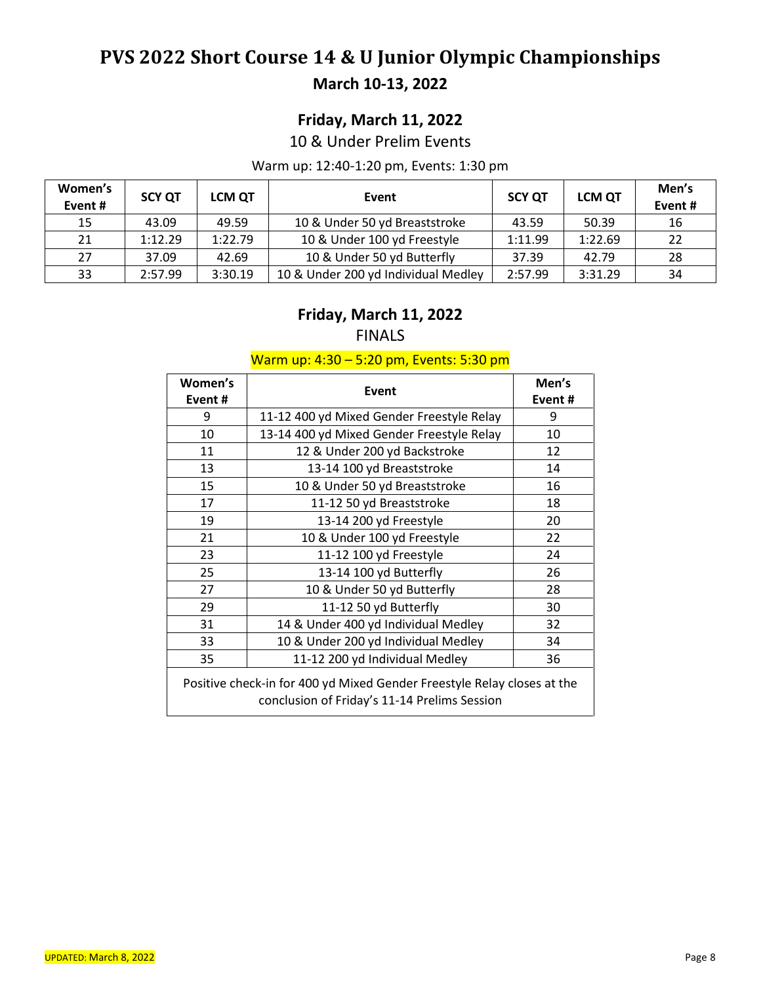## **Friday, March 11, 2022**

10 & Under Prelim Events

#### Warm up: 12:40-1:20 pm, Events: 1:30 pm

| Women's<br>Event# | <b>SCY QT</b> | <b>LCM QT</b> | Event                               | <b>SCY QT</b> | <b>LCM QT</b> | Men's<br>Event# |
|-------------------|---------------|---------------|-------------------------------------|---------------|---------------|-----------------|
| 15                | 43.09         | 49.59         | 10 & Under 50 yd Breaststroke       | 43.59         | 50.39         | 16              |
| 21                | 1:12.29       | 1:22.79       | 10 & Under 100 yd Freestyle         | 1:11.99       | 1:22.69       | 22              |
| 27                | 37.09         | 42.69         | 10 & Under 50 yd Butterfly          | 37.39         | 42.79         | 28              |
| 33                | 2:57.99       | 3:30.19       | 10 & Under 200 yd Individual Medley | 2:57.99       | 3:31.29       | 34              |

#### **Friday, March 11, 2022** FINALS

#### Warm up: 4:30 – 5:20 pm, Events: 5:30 pm

| Women's<br>Event #                                                                                                      | Event                                     | Men's<br>Event # |  |  |  |
|-------------------------------------------------------------------------------------------------------------------------|-------------------------------------------|------------------|--|--|--|
| 9                                                                                                                       | 11-12 400 yd Mixed Gender Freestyle Relay | 9                |  |  |  |
| 10                                                                                                                      | 13-14 400 yd Mixed Gender Freestyle Relay | 10               |  |  |  |
| 11                                                                                                                      | 12 & Under 200 yd Backstroke              | 12               |  |  |  |
| 13                                                                                                                      | 13-14 100 yd Breaststroke                 | 14               |  |  |  |
| 15                                                                                                                      | 10 & Under 50 yd Breaststroke             | 16               |  |  |  |
| 17                                                                                                                      | 11-12 50 yd Breaststroke                  | 18               |  |  |  |
| 19                                                                                                                      | 13-14 200 yd Freestyle                    | 20               |  |  |  |
| 21                                                                                                                      | 10 & Under 100 yd Freestyle               | 22               |  |  |  |
| 23                                                                                                                      | 11-12 100 yd Freestyle                    | 24               |  |  |  |
| 25                                                                                                                      | 13-14 100 yd Butterfly                    | 26               |  |  |  |
| 27                                                                                                                      | 10 & Under 50 yd Butterfly                | 28               |  |  |  |
| 29                                                                                                                      | 11-12 50 yd Butterfly                     | 30               |  |  |  |
| 31                                                                                                                      | 14 & Under 400 yd Individual Medley       | 32               |  |  |  |
| 33                                                                                                                      | 10 & Under 200 yd Individual Medley       | 34               |  |  |  |
| 35                                                                                                                      | 11-12 200 yd Individual Medley            | 36               |  |  |  |
| Positive check-in for 400 yd Mixed Gender Freestyle Relay closes at the<br>conclusion of Friday's 11-14 Prelims Session |                                           |                  |  |  |  |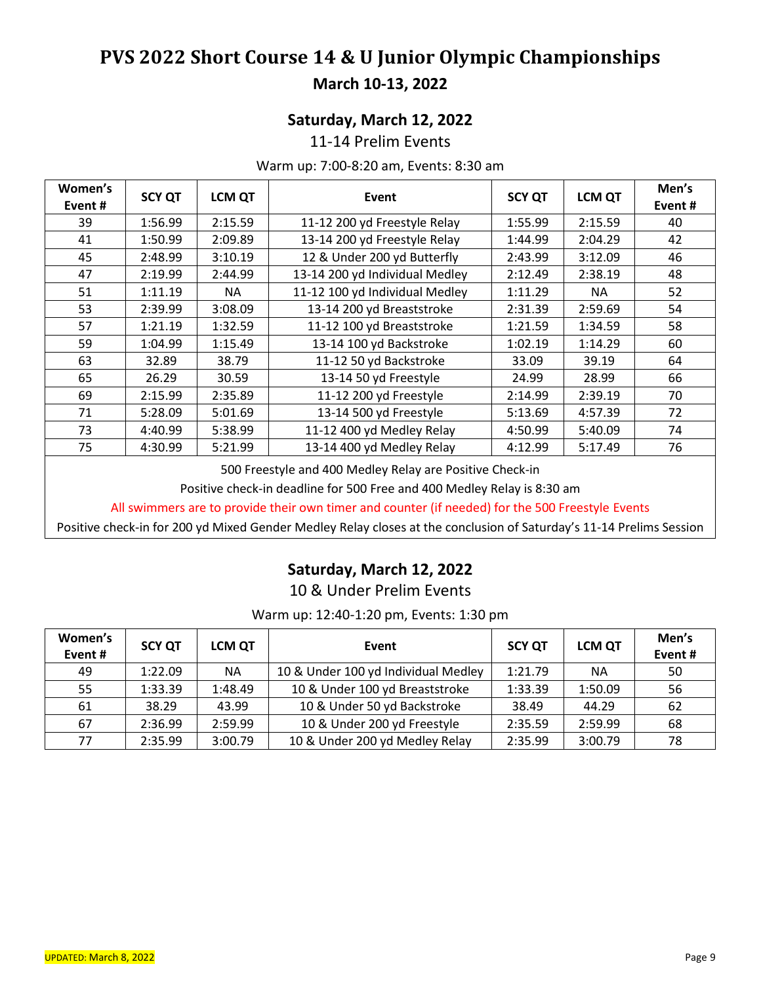### **Saturday, March 12, 2022**

11-14 Prelim Events

#### Warm up: 7:00-8:20 am, Events: 8:30 am

| Women's |               | <b>LCM QT</b> |                                | <b>SCY QT</b> | <b>LCM QT</b> | Men's  |
|---------|---------------|---------------|--------------------------------|---------------|---------------|--------|
| Event#  | <b>SCY QT</b> |               | Event                          |               |               | Event# |
| 39      | 1:56.99       | 2:15.59       | 11-12 200 yd Freestyle Relay   | 1:55.99       | 2:15.59       | 40     |
| 41      | 1:50.99       | 2:09.89       | 13-14 200 yd Freestyle Relay   | 1:44.99       | 2:04.29       | 42     |
| 45      | 2:48.99       | 3:10.19       | 12 & Under 200 yd Butterfly    | 2:43.99       | 3:12.09       | 46     |
| 47      | 2:19.99       | 2:44.99       | 13-14 200 yd Individual Medley | 2:12.49       | 2:38.19       | 48     |
| 51      | 1:11.19       | NA.           | 11-12 100 yd Individual Medley | 1:11.29       | NA.           | 52     |
| 53      | 2:39.99       | 3:08.09       | 13-14 200 yd Breaststroke      | 2:31.39       | 2:59.69       | 54     |
| 57      | 1:21.19       | 1:32.59       | 11-12 100 yd Breaststroke      | 1:21.59       | 1:34.59       | 58     |
| 59      | 1:04.99       | 1:15.49       | 13-14 100 yd Backstroke        | 1:02.19       | 1:14.29       | 60     |
| 63      | 32.89         | 38.79         | 11-12 50 yd Backstroke         | 33.09         | 39.19         | 64     |
| 65      | 26.29         | 30.59         | 13-14 50 yd Freestyle          | 24.99         | 28.99         | 66     |
| 69      | 2:15.99       | 2:35.89       | 11-12 200 yd Freestyle         | 2:14.99       | 2:39.19       | 70     |
| 71      | 5:28.09       | 5:01.69       | 13-14 500 yd Freestyle         | 5:13.69       | 4:57.39       | 72     |
| 73      | 4:40.99       | 5:38.99       | 11-12 400 yd Medley Relay      | 4:50.99       | 5:40.09       | 74     |
| 75      | 4:30.99       | 5:21.99       | 13-14 400 yd Medley Relay      | 4:12.99       | 5:17.49       | 76     |

500 Freestyle and 400 Medley Relay are Positive Check-in

Positive check-in deadline for 500 Free and 400 Medley Relay is 8:30 am

All swimmers are to provide their own timer and counter (if needed) for the 500 Freestyle Events

Positive check-in for 200 yd Mixed Gender Medley Relay closes at the conclusion of Saturday's 11-14 Prelims Session

### **Saturday, March 12, 2022**

10 & Under Prelim Events

Warm up: 12:40-1:20 pm, Events: 1:30 pm

| Women's<br>Event # | <b>SCY QT</b> | <b>LCM QT</b> | Event                               | <b>SCY QT</b> | <b>LCM QT</b> | Men's<br>Event# |
|--------------------|---------------|---------------|-------------------------------------|---------------|---------------|-----------------|
| 49                 | 1:22.09       | <b>NA</b>     | 10 & Under 100 yd Individual Medley | 1:21.79       | <b>NA</b>     | 50              |
| 55                 | 1:33.39       | 1:48.49       | 10 & Under 100 yd Breaststroke      | 1:33.39       | 1:50.09       | 56              |
| 61                 | 38.29         | 43.99         | 10 & Under 50 yd Backstroke         | 38.49         | 44.29         | 62              |
| 67                 | 2:36.99       | 2:59.99       | 10 & Under 200 yd Freestyle         | 2:35.59       | 2:59.99       | 68              |
| 77                 | 2:35.99       | 3:00.79       | 10 & Under 200 yd Medley Relay      | 2:35.99       | 3:00.79       | 78              |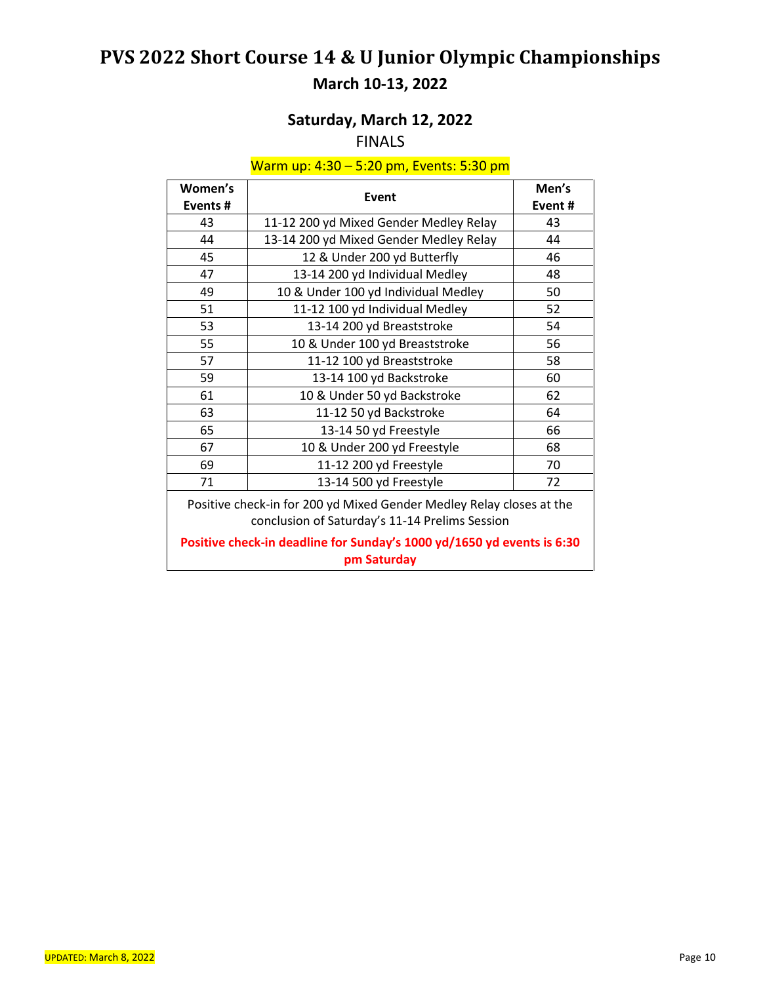## **Saturday, March 12, 2022**

### FINALS

#### Warm up: 4:30 – 5:20 pm, Events: 5:30 pm

| Women's                                                                                                                | Event                                  | Men's  |  |  |  |
|------------------------------------------------------------------------------------------------------------------------|----------------------------------------|--------|--|--|--|
| Events#                                                                                                                |                                        | Event# |  |  |  |
| 43                                                                                                                     | 11-12 200 yd Mixed Gender Medley Relay | 43     |  |  |  |
| 44                                                                                                                     | 13-14 200 yd Mixed Gender Medley Relay | 44     |  |  |  |
| 45                                                                                                                     | 12 & Under 200 yd Butterfly            | 46     |  |  |  |
| 47                                                                                                                     | 13-14 200 yd Individual Medley         | 48     |  |  |  |
| 49                                                                                                                     | 10 & Under 100 yd Individual Medley    | 50     |  |  |  |
| 51                                                                                                                     | 11-12 100 yd Individual Medley         | 52     |  |  |  |
| 53                                                                                                                     | 13-14 200 yd Breaststroke              | 54     |  |  |  |
| 55                                                                                                                     | 10 & Under 100 yd Breaststroke         | 56     |  |  |  |
| 57                                                                                                                     | 11-12 100 yd Breaststroke              | 58     |  |  |  |
| 59                                                                                                                     | 13-14 100 yd Backstroke                | 60     |  |  |  |
| 61                                                                                                                     | 10 & Under 50 yd Backstroke            | 62     |  |  |  |
| 63                                                                                                                     | 11-12 50 yd Backstroke                 | 64     |  |  |  |
| 65                                                                                                                     | 13-14 50 yd Freestyle                  | 66     |  |  |  |
| 67                                                                                                                     | 10 & Under 200 yd Freestyle            | 68     |  |  |  |
| 69                                                                                                                     | 11-12 200 yd Freestyle                 | 70     |  |  |  |
| 71                                                                                                                     | 13-14 500 yd Freestyle                 | 72     |  |  |  |
| Positive check-in for 200 yd Mixed Gender Medley Relay closes at the<br>conclusion of Saturday's 11-14 Prelims Session |                                        |        |  |  |  |
| Positive check-in deadline for Sunday's 1000 yd/1650 yd events is 6:30<br>pm Saturday                                  |                                        |        |  |  |  |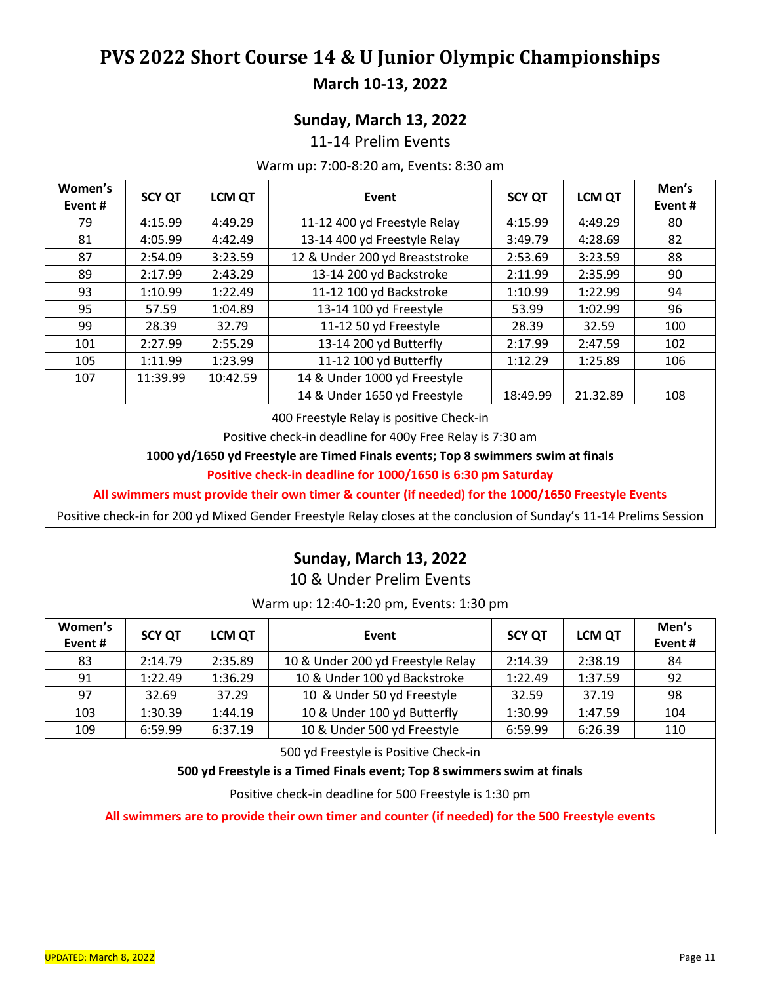### **Sunday, March 13, 2022**

11-14 Prelim Events

#### Warm up: 7:00-8:20 am, Events: 8:30 am

| Women's<br>Event# | <b>SCY QT</b> | <b>LCM QT</b> | Event                          | <b>SCY QT</b> | <b>LCM QT</b> | Men's<br>Event# |
|-------------------|---------------|---------------|--------------------------------|---------------|---------------|-----------------|
| 79                | 4:15.99       | 4:49.29       | 11-12 400 yd Freestyle Relay   | 4:15.99       | 4:49.29       | 80              |
| 81                | 4:05.99       | 4:42.49       | 13-14 400 yd Freestyle Relay   | 3:49.79       | 4:28.69       | 82              |
| 87                | 2:54.09       | 3:23.59       | 12 & Under 200 yd Breaststroke | 2:53.69       | 3:23.59       | 88              |
| 89                | 2:17.99       | 2:43.29       | 13-14 200 yd Backstroke        | 2:11.99       | 2:35.99       | 90              |
| 93                | 1:10.99       | 1:22.49       | 11-12 100 yd Backstroke        | 1:10.99       | 1:22.99       | 94              |
| 95                | 57.59         | 1:04.89       | 13-14 100 yd Freestyle         | 53.99         | 1:02.99       | 96              |
| 99                | 28.39         | 32.79         | 11-12 50 yd Freestyle          | 28.39         | 32.59         | 100             |
| 101               | 2:27.99       | 2:55.29       | 13-14 200 yd Butterfly         | 2:17.99       | 2:47.59       | 102             |
| 105               | 1:11.99       | 1:23.99       | 11-12 100 yd Butterfly         | 1:12.29       | 1:25.89       | 106             |
| 107               | 11:39.99      | 10:42.59      | 14 & Under 1000 yd Freestyle   |               |               |                 |
|                   |               |               | 14 & Under 1650 yd Freestyle   | 18:49.99      | 21.32.89      | 108             |

400 Freestyle Relay is positive Check-in

Positive check-in deadline for 400y Free Relay is 7:30 am

**1000 yd/1650 yd Freestyle are Timed Finals events; Top 8 swimmers swim at finals**

**Positive check-in deadline for 1000/1650 is 6:30 pm Saturday**

**All swimmers must provide their own timer & counter (if needed) for the 1000/1650 Freestyle Events**

Positive check-in for 200 yd Mixed Gender Freestyle Relay closes at the conclusion of Sunday's 11-14 Prelims Session

### **Sunday, March 13, 2022**

10 & Under Prelim Events

Warm up: 12:40-1:20 pm, Events: 1:30 pm

| Women's<br>Event# | <b>SCY QT</b> | <b>LCM QT</b> | Event                                                                                                                                  | <b>SCY QT</b> | <b>LCM QT</b> | Men's<br>Event # |
|-------------------|---------------|---------------|----------------------------------------------------------------------------------------------------------------------------------------|---------------|---------------|------------------|
| 83                | 2:14.79       | 2:35.89       | 10 & Under 200 yd Freestyle Relay                                                                                                      | 2:14.39       | 2:38.19       | 84               |
| 91                | 1:22.49       | 1:36.29       | 10 & Under 100 yd Backstroke                                                                                                           | 1:22.49       | 1:37.59       | 92               |
| 97                | 32.69         | 37.29         | 10 & Under 50 yd Freestyle                                                                                                             | 32.59         | 37.19         | 98               |
| 103               | 1:30.39       | 1:44.19       | 10 & Under 100 yd Butterfly                                                                                                            | 1:30.99       | 1:47.59       | 104              |
| 109               | 6:59.99       | 6:37.19       | 10 & Under 500 yd Freestyle                                                                                                            | 6:59.99       | 6:26.39       | 110              |
|                   |               |               | $\mathsf{F} \circ \mathsf{A}$ . If $\mathsf{F} \circ \mathsf{A}$ . If $\mathsf{F} \circ \mathsf{A}$ . If $\mathsf{F} \circ \mathsf{A}$ |               |               |                  |

500 yd Freestyle is Positive Check-in

#### **500 yd Freestyle is a Timed Finals event; Top 8 swimmers swim at finals**

Positive check-in deadline for 500 Freestyle is 1:30 pm

**All swimmers are to provide their own timer and counter (if needed) for the 500 Freestyle events**